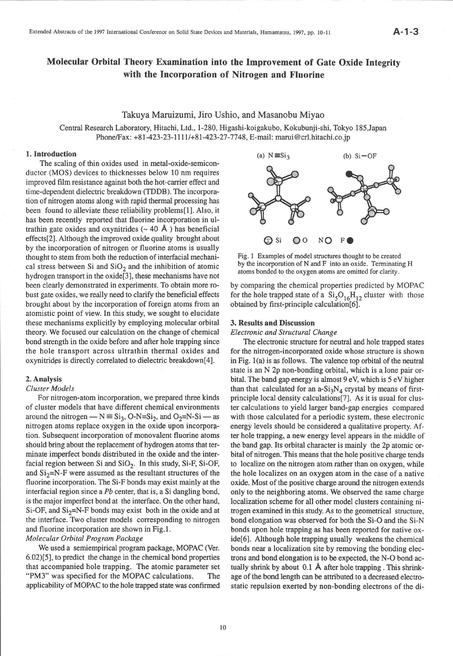## Molecular Orbital Theory Examination into the Improvement of Gate Oxide Integrity with the Incorporation of Nitrogen and Fluorine

Takuya Maruizumi, Jiro Ushio, and Masanobu Miyao<br>Central Research Laboratory, Hitachi, Ltd., 1-280, Higashi-koigakubo, Kokubunji-shi, Tokyo 185, Japan  $\frac{\text{BhongEay}: 181,423,23,1111/191,423,27,7748}{\text{Bmail manu@crl hitechi co.}}$ 

## 1. Introduction

The scaling of thin oxides used in metal-oxide-semiconductor (MOS) devices to thicknesses below 10 nm requires improved film resistance against both the hot-carrier effect and time-dependent dielectric breakdown' (TDDB). The incorporation of nitrogen atoms along with rapid thermal processing has been found to alleviate these reliability problems[1]. Also, it has been recently reported that fluorine incorporation in ultrathin gate oxides and oxynitrides  $(-40 \text{ Å})$  has beneficial effects[2]. Although the improved oxide quality brought about by the incorporation of nitrogen or fluorine atoms is usually thought to stem from both the reduction of interfacial mechanical stress between Si and  $SiO<sub>2</sub>$  and the inhibition of atomic hydrogen transport in the oxide[3], these mechanisms have not been clearly demonstrated in experiments. To obtain more robust gate oxides, we really need to clarify the beneficial effects brought about by the incorporation of foreign atoms from an atomistic point of view. In this study, we sought to elucidate these mechanisms explicitly by employing molecular orbital theory. We focused our calculation on the change of chemical bond strength in the oxide before and after hole trapping since the hole transport across ultrathin thermal oxides and oxynitrides is directly correlated to dielectric breakdown[4].

## 2. Analysis

## Cluster Models

For nitrogen-atom incorporation, we prepared three kinds of cluster models that have different chemical environments around the nitrogen —  $N \equiv S_i$ , O-N=Si<sub>2</sub>, and O<sub>2</sub>=N-Si — as around the nitrogen —  $N = S_1S$ , O-N=S1<sub>2</sub>, and O<sub>2</sub>=N-S1 — as<br>nitrogen atoms replace oxygen in the oxide upon incorporation. Subsequent incorporation of monovalent fluorine atoms should bring about the replacement of hydrogen atoms that terminate imperfect bonds distributed in the oxide and the interfacial region between Si and  $SiO<sub>2</sub>$ . In this study, Si-F, Si-OF, and  $Si<sub>2</sub>=N-F$  were assumed as the resultant structures of the fluorine incorporation. The Si-F bonds may exist mainly at the interfacial region since a Pb center, that is, a Si dangling bond, is the major imperfect bond at the interface. On the other hand, Si-OF, and  $Si<sub>2</sub>=N-F$  bonds may exist both in the oxide and at the interface. Two cluster models corresponding to nitrogen and fluorine incorporation are shown in Fig.l.

## Molecular Orbitai Program Package

We used a semiempirical program package, MOPAC (Ver. 6.02)[5], to predict the change in the chemical bond properties that accompanied hole trapping. The atomic parameter set "PM3" was specified for the MOPAC calculations, The applicability of MOPAC to the hole rapped state was confirmed





 $\overline{\text{for the hole temporal state of } \alpha}$   $\overline{\text{Si}} \cap \overline{\text{H}}$  aluster with these  $\frac{5}{6}$  The form the hole transfer  $\frac{5}{6}$  TeV  $\frac{12}{12}$ obtained by first-principle calculation $[6]$ .

# 3. Results and Discussion<br>Electronic and Structural Change

ELECTRONIC UND STRICTURE CHUNGE The electronic structure for neutral and hole trapped states in Fig.  $1(a)$  is as follows. The valence top orbital of the neutral state is an N 2p non-bonding orbital, which is a lone pair orbital. The band gap energy is almost 9 eV, which is 5 eV higher than that calculated for an  $a-Si<sub>3</sub>N<sub>4</sub>$  crystal by means of firstprinciple local density calculations [7]. As it is usual for cluster calculations to yield larger band-gap energies compared with those calculated for a periodic system, these electronic energy levels should be considered a qualitative property. After hole trapping, a new energy level appears in the middle of the band gap. Its orbital character is mainly the 2p atomic orbital of nitrogen. This means that the hole positive charge tends to localize on the nitrogen atom rather than on oxygen, while the hole localizes on an oxygen atom in the case of a native oxide. Most of the positive charge around the nitrogen extends only to the neighboring atoms. We observed the same charge localization scheme for all other model clusters containing nitrogen examined in this study. As to the geometrical structure, bond elongation was observed for both the Si-O and the Si-N bonds upon hole trapping as has been reported for native oxide[6]. Although hole trapping usually weakens the chemical bonds near a localization site by removing the bonding electrons and bond elongation is to be expected, the N-O bond actually shrink by about  $0.1$  Å after hole trapping. This shrinkage of the bond length can be attributed to a decreased electro- $\frac{1}{2}$  and  $\frac{1}{2}$  are attnbuted to a decreased to a decreased electronic can be attnbuted to a decreased experimental electronic can be a decreased to a decreased experimental electronic can be a decreased to a decr  $s<sub>r</sub>$  repulsion exerting electrons of the di